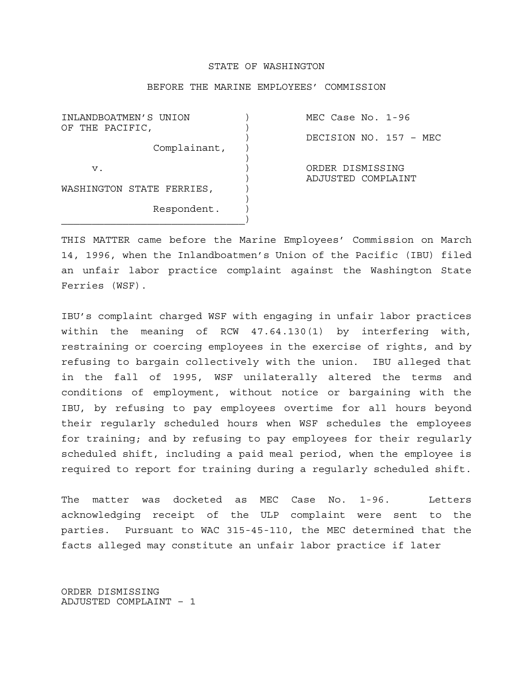## STATE OF WASHINGTON

## BEFORE THE MARINE EMPLOYEES' COMMISSION

INLANDBOATMEN'S UNION ) MEC Case No. 1-96 OF THE PACIFIC. Complainant, )  $\overline{\phantom{a}}$  v. ) ORDER DISMISSING WASHINGTON STATE FERRIES,  $)$  Respondent. )  $\overline{\phantom{a}}$ 

) DECISION NO. 157 – MEC

) ADJUSTED COMPLAINT

THIS MATTER came before the Marine Employees' Commission on March 14, 1996, when the Inlandboatmen's Union of the Pacific (IBU) filed an unfair labor practice complaint against the Washington State Ferries (WSF).

IBU's complaint charged WSF with engaging in unfair labor practices within the meaning of RCW 47.64.130(1) by interfering with, restraining or coercing employees in the exercise of rights, and by refusing to bargain collectively with the union. IBU alleged that in the fall of 1995, WSF unilaterally altered the terms and conditions of employment, without notice or bargaining with the IBU, by refusing to pay employees overtime for all hours beyond their regularly scheduled hours when WSF schedules the employees for training; and by refusing to pay employees for their regularly scheduled shift, including a paid meal period, when the employee is required to report for training during a regularly scheduled shift.

The matter was docketed as MEC Case No. 1-96. Letters acknowledging receipt of the ULP complaint were sent to the parties. Pursuant to WAC 315-45-110, the MEC determined that the facts alleged may constitute an unfair labor practice if later

ORDER DISMISSING ADJUSTED COMPLAINT – 1